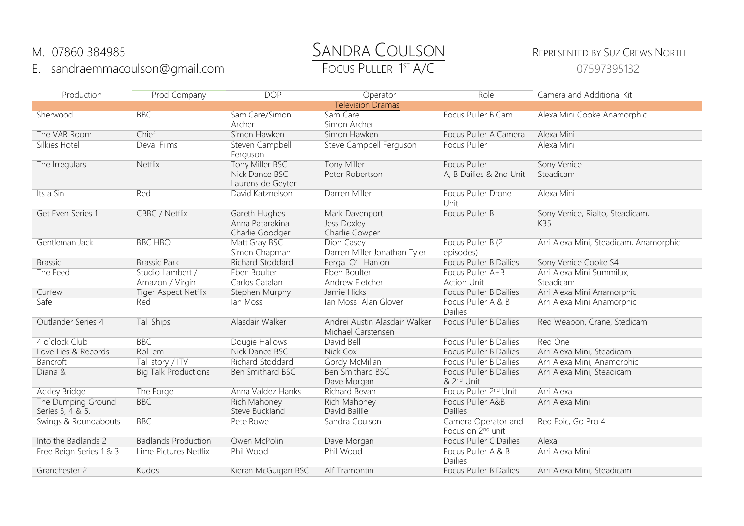## E. sandraemmacoulson@gmail.com

## M. 07860 384985<br>
E. sandraemmacoulson@gmail.com Focus PullER 1<sup>st</sup> A/C<br>
Focus PullER 1<sup>st</sup> A/C

## 07597395132

| Production                             | Prod Company                        | <b>DOP</b>                                             | Operator                                            | Role                                             | Camera and Additional Kit              |  |  |
|----------------------------------------|-------------------------------------|--------------------------------------------------------|-----------------------------------------------------|--------------------------------------------------|----------------------------------------|--|--|
| <b>Television Dramas</b>               |                                     |                                                        |                                                     |                                                  |                                        |  |  |
| Sherwood                               | <b>BBC</b>                          | Sam Care/Simon                                         | Sam Care                                            | Focus Puller B Cam                               | Alexa Mini Cooke Anamorphic            |  |  |
|                                        |                                     | Archer                                                 | Simon Archer                                        |                                                  |                                        |  |  |
| The VAR Room                           | Chief                               | Simon Hawken                                           | Simon Hawken                                        | Focus Puller A Camera                            | Alexa Mini                             |  |  |
| Silkies Hotel                          | Deval Films                         | Steven Campbell<br>Ferguson                            | Steve Campbell Ferguson                             | <b>Focus Puller</b>                              | Alexa Mini                             |  |  |
| The Irregulars                         | Netflix                             | Tony Miller BSC<br>Nick Dance BSC<br>Laurens de Geyter | <b>Tony Miller</b><br>Peter Robertson               | <b>Focus Puller</b><br>A, B Dailies & 2nd Unit   | Sony Venice<br>Steadicam               |  |  |
| Its a Sin                              | Red                                 | David Katznelson                                       | Darren Miller                                       | Focus Puller Drone<br>Unit                       | Alexa Mini                             |  |  |
| Get Even Series 1                      | <b>CBBC / Netflix</b>               | Gareth Hughes<br>Anna Patarakina<br>Charlie Goodger    | Mark Davenport<br>Jess Doxley<br>Charlie Cowper     | Focus Puller B                                   | Sony Venice, Rialto, Steadicam,<br>K35 |  |  |
| Gentleman Jack                         | <b>BBC HBO</b>                      | Matt Gray BSC<br>Simon Chapman                         | Dion Casey<br>Darren Miller Jonathan Tyler          | Focus Puller B (2)<br>episodes)                  | Arri Alexa Mini, Steadicam, Anamorphic |  |  |
| <b>Brassic</b>                         | <b>Brassic Park</b>                 | Richard Stoddard                                       | Fergal O' Hanlon                                    | <b>Focus Puller B Dailies</b>                    | Sony Venice Cooke S4                   |  |  |
| The Feed                               | Studio Lambert /<br>Amazon / Virgin | Eben Boulter<br>Carlos Catalan                         | Eben Boulter<br>Andrew Fletcher                     | Focus Puller A+B<br><b>Action Unit</b>           | Arri Alexa Mini Summilux,<br>Steadicam |  |  |
| Curfew                                 | <b>Tiger Aspect Netflix</b>         | Stephen Murphy                                         | Jamie Hicks                                         | Focus Puller B Dailies                           | Arri Alexa Mini Anamorphic             |  |  |
| Safe                                   | Red                                 | lan Moss                                               | Ian Moss Alan Glover                                | Focus Puller A & B<br>Dailies                    | Arri Alexa Mini Anamorphic             |  |  |
| Outlander Series 4                     | <b>Tall Ships</b>                   | Alasdair Walker                                        | Andrei Austin Alasdair Walker<br>Michael Carstensen | <b>Focus Puller B Dailies</b>                    | Red Weapon, Crane, Stedicam            |  |  |
| 4 o'clock Club                         | <b>BBC</b>                          | Dougie Hallows                                         | David Bell                                          | Focus Puller B Dailies                           | Red One                                |  |  |
| Love Lies & Records                    | Roll em                             | Nick Dance BSC                                         | <b>Nick Cox</b>                                     | Focus Puller B Dailies                           | Arri Alexa Mini, Steadicam             |  |  |
| <b>Bancroft</b>                        | Tall story / ITV                    | Richard Stoddard                                       | Gordy McMillan                                      | Focus Puller B Dailies                           | Arri Alexa Mini, Anamorphic            |  |  |
| Diana & I                              | <b>Big Talk Productions</b>         | Ben Smithard BSC                                       | <b>Ben Smithard BSC</b><br>Dave Morgan              | Focus Puller B Dailies<br>& 2 <sup>nd</sup> Unit | Arri Alexa Mini, Steadicam             |  |  |
| <b>Ackley Bridge</b>                   | The Forge                           | Anna Valdez Hanks                                      | Richard Bevan                                       | Focus Puller 2nd Unit                            | Arri Alexa                             |  |  |
| The Dumping Ground<br>Series 3, 4 & 5. | <b>BBC</b>                          | Rich Mahoney<br>Steve Buckland                         | Rich Mahoney<br>David Baillie                       | Focus Puller A&B<br>Dailies                      | Arri Alexa Mini                        |  |  |
| Swings & Roundabouts                   | <b>BBC</b>                          | Pete Rowe                                              | Sandra Coulson                                      | Camera Operator and<br>Focus on 2nd unit         | Red Epic, Go Pro 4                     |  |  |
| Into the Badlands 2                    | <b>Badlands Production</b>          | Owen McPolin                                           | Dave Morgan                                         | Focus Puller C Dailies                           | Alexa                                  |  |  |
| Free Reign Series 1 & 3                | Lime Pictures Netflix               | Phil Wood                                              | Phil Wood                                           | Focus Puller A & B<br>Dailies                    | Arri Alexa Mini                        |  |  |
| Granchester 2                          | Kudos                               | Kieran McGuigan BSC                                    | <b>Alf Tramontin</b>                                | Focus Puller B Dailies                           | Arri Alexa Mini, Steadicam             |  |  |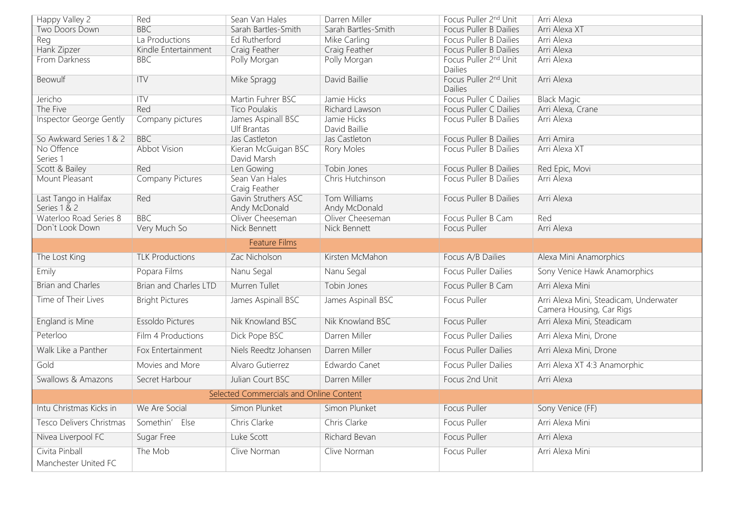| Happy Valley 2                          | Red                     | Sean Van Hales                       | Darren Miller                 | Focus Puller 2nd Unit                        | Arri Alexa                                                         |  |  |
|-----------------------------------------|-------------------------|--------------------------------------|-------------------------------|----------------------------------------------|--------------------------------------------------------------------|--|--|
| Two Doors Down                          | <b>BBC</b>              | Sarah Bartles-Smith                  | Sarah Bartles-Smith           | <b>Focus Puller B Dailies</b>                | Arri Alexa XT                                                      |  |  |
| Reg                                     | La Productions          | <b>Ed Rutherford</b>                 | <b>Mike Carling</b>           | Focus Puller B Dailies                       | Arri Alexa                                                         |  |  |
| Hank Zipzer                             | Kindle Entertainment    | Craig Feather                        | Craig Feather                 | <b>Focus Puller B Dailies</b>                | Arri Alexa                                                         |  |  |
| From Darkness                           | <b>BBC</b>              | Polly Morgan                         | Polly Morgan                  | Focus Puller 2 <sup>nd</sup> Unit<br>Dailies | Arri Alexa                                                         |  |  |
| Beowulf                                 | ITV                     | Mike Spragg                          | David Baillie                 | Focus Puller 2nd Unit<br><b>Dailies</b>      | Arri Alexa                                                         |  |  |
| Jericho                                 | $\overline{\text{TV}}$  | Martin Fuhrer BSC                    | Jamie Hicks                   | Focus Puller C Dailies                       | <b>Black Magic</b>                                                 |  |  |
| The Five                                | Red                     | <b>Tico Poulakis</b>                 | Richard Lawson                | Focus Puller C Dailies                       | Arri Alexa, Crane                                                  |  |  |
| <b>Inspector George Gently</b>          | Company pictures        | James Aspinall BSC<br>Ulf Brantas    | Jamie Hicks<br>David Baillie  | Focus Puller B Dailies                       | Arri Alexa                                                         |  |  |
| So Awkward Series 1 & 2                 | <b>BBC</b>              | Jas Castleton                        | Jas Castleton                 | Focus Puller B Dailies                       | Arri Amira                                                         |  |  |
| No Offence<br>Series 1                  | <b>Abbot Vision</b>     | Kieran McGuigan BSC<br>David Marsh   | <b>Rory Moles</b>             | Focus Puller B Dailies                       | Arri Alexa XT                                                      |  |  |
| Scott & Bailey                          | Red                     | Len Gowing                           | Tobin Jones                   | <b>Focus Puller B Dailies</b>                | Red Epic, Movi                                                     |  |  |
| Mount Pleasant                          | <b>Company Pictures</b> | Sean Van Hales<br>Craig Feather      | Chris Hutchinson              | <b>Focus Puller B Dailies</b>                | Arri Alexa                                                         |  |  |
| Last Tango in Halifax<br>Series 1 & 2   | Red                     | Gavin Struthers ASC<br>Andy McDonald | Tom Williams<br>Andy McDonald | <b>Focus Puller B Dailies</b>                | Arri Alexa                                                         |  |  |
| Waterloo Road Series 8                  | <b>BBC</b>              | Oliver Cheeseman                     | Oliver Cheeseman              | Focus Puller B Cam                           | Red                                                                |  |  |
| Don't Look Down                         | Very Much So            | Nick Bennett                         | Nick Bennett                  | <b>Focus Puller</b>                          | Arri Alexa                                                         |  |  |
|                                         |                         | <b>Feature Films</b>                 |                               |                                              |                                                                    |  |  |
| The Lost King                           | <b>TLK Productions</b>  | Zac Nicholson                        | Kirsten McMahon               | Focus A/B Dailies                            | Alexa Mini Anamorphics                                             |  |  |
| Emily                                   | Popara Films            | Nanu Segal                           | Nanu Segal                    | <b>Focus Puller Dailies</b>                  | Sony Venice Hawk Anamorphics                                       |  |  |
| <b>Brian and Charles</b>                | Brian and Charles LTD   | Murren Tullet                        | Tobin Jones                   | Focus Puller B Cam                           | Arri Alexa Mini                                                    |  |  |
| Time of Their Lives                     | <b>Bright Pictures</b>  | James Aspinall BSC                   | James Aspinall BSC            | <b>Focus Puller</b>                          | Arri Alexa Mini, Steadicam, Underwater<br>Camera Housing, Car Rigs |  |  |
| <b>England is Mine</b>                  | Essoldo Pictures        | Nik Knowland BSC                     | Nik Knowland BSC              | <b>Focus Puller</b>                          | Arri Alexa Mini, Steadicam                                         |  |  |
| Peterloo                                | Film 4 Productions      | Dick Pope BSC                        | Darren Miller                 | <b>Focus Puller Dailies</b>                  | Arri Alexa Mini, Drone                                             |  |  |
| Walk Like a Panther                     | Fox Entertainment       | Niels Reedtz Johansen                | Darren Miller                 | <b>Focus Puller Dailies</b>                  | Arri Alexa Mini, Drone                                             |  |  |
| Gold                                    | Movies and More         | Alvaro Gutierrez                     | Edwardo Canet                 | <b>Focus Puller Dailies</b>                  | Arri Alexa XT 4:3 Anamorphic                                       |  |  |
| Swallows & Amazons                      | Secret Harbour          | Julian Court BSC                     | Darren Miller                 | Focus 2nd Unit                               | Arri Alexa                                                         |  |  |
| Selected Commercials and Online Content |                         |                                      |                               |                                              |                                                                    |  |  |
| Intu Christmas Kicks in                 | We Are Social           | Simon Plunket                        | Simon Plunket                 | <b>Focus Puller</b>                          | Sony Venice (FF)                                                   |  |  |
| Tesco Delivers Christmas                | Somethin' Else          | Chris Clarke                         | Chris Clarke                  | Focus Puller                                 | Arri Alexa Mini                                                    |  |  |
| Nivea Liverpool FC                      | Sugar Free              | Luke Scott                           | Richard Bevan                 | <b>Focus Puller</b>                          | Arri Alexa                                                         |  |  |
| Civita Pinball                          | The Mob                 | Clive Norman                         | Clive Norman                  | <b>Focus Puller</b>                          | Arri Alexa Mini                                                    |  |  |
| Manchester United FC                    |                         |                                      |                               |                                              |                                                                    |  |  |